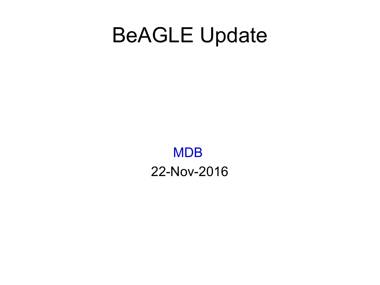### BeAGLE Update

MDB 22-Nov-2016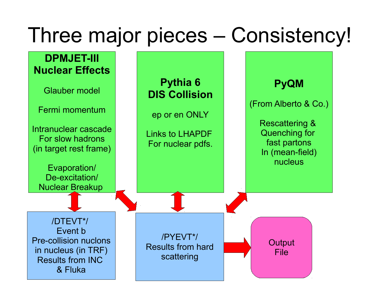### Three major pieces – Consistency!

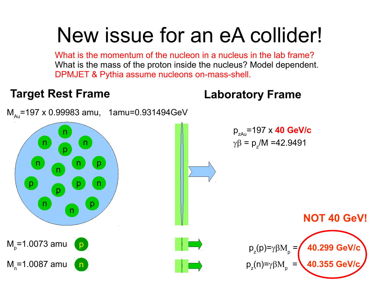### New issue for an eA collider!

What is the momentum of the nucleon in a nucleus in the lab frame? What is the mass of the proton inside the nucleus? Model dependent. DPMJET & Pythia assume nucleons on-mass-shell.

### n p p n n p n p p n n p n n n p n M<sub>p</sub>=1.0073 amu M<sub>ո</sub>=1.0087 amu  $M_{\text{av}}$ =197 x 0.99983 amu, 1amu=0.931494GeV pzAu=197 x **40 GeV/c**  $\gamma \beta = p_z/M = 42.9491$  $p_z(p) = \gamma \beta M_p$  = **40.299 GeV/c**  $p_z(n) = \gamma \beta M_p$  = **40.355 GeV/c NOT 40 GeV! Target Rest Frame Laboratory Frame**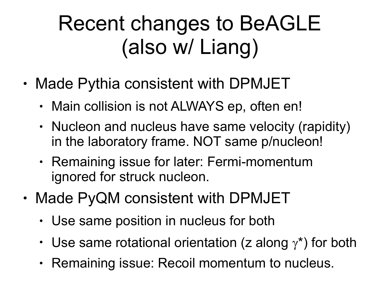# Recent changes to BeAGLE (also w/ Liang)

- Made Pythia consistent with DPMJET
	- Main collision is not ALWAYS ep, often en!
	- Nucleon and nucleus have same velocity (rapidity) in the laboratory frame. NOT same p/nucleon!
	- Remaining issue for later: Fermi-momentum ignored for struck nucleon.
- Made PyQM consistent with DPMJET
	- Use same position in nucleus for both
	- Use same rotational orientation (z along  $\gamma^*$ ) for both
	- Remaining issue: Recoil momentum to nucleus.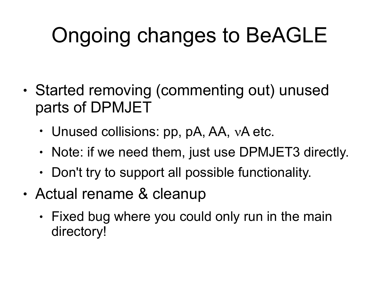# Ongoing changes to BeAGLE

- Started removing (commenting out) unused parts of DPMJET
	- Unused collisions:  $pp$ ,  $pA$ ,  $AA$ ,  $vA$  etc.
	- Note: if we need them, just use DPMJET3 directly.
	- $\cdot$  Don't try to support all possible functionality.
- Actual rename & cleanup
	- $\cdot$  Fixed bug where you could only run in the main directory!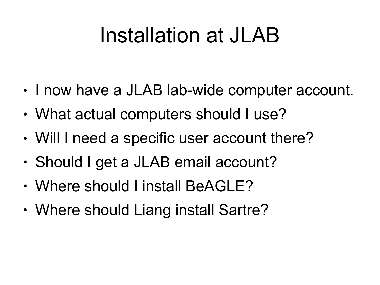# Installation at JLAB

- I now have a JLAB lab-wide computer account.
- What actual computers should I use?
- Will I need a specific user account there?
- Should I get a JLAB email account?
- Where should I install BeAGLE?
- Where should Liang install Sartre?